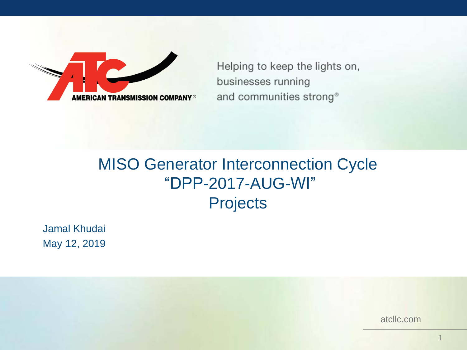

Helping to keep the lights on, businesses running and communities strong®

#### MISO Generator Interconnection Cycle "DPP-2017-AUG-WI" **Projects**

Jamal Khudai May 12, 2019

atcllc.com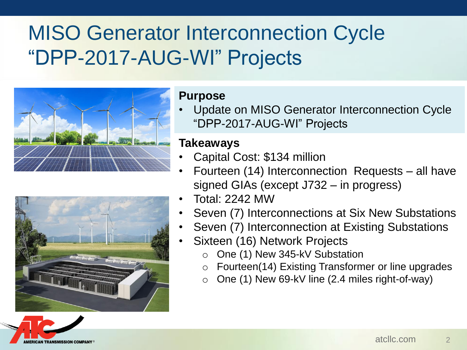# MISO Generator Interconnection Cycle "DPP-2017-AUG-WI" Projects





#### **Purpose**

• Update on MISO Generator Interconnection Cycle "DPP-2017-AUG-WI" Projects

#### **Takeaways**

- Capital Cost: \$134 million
- Fourteen (14) Interconnection Requests all have signed GIAs (except J732 – in progress)
- Total: 2242 MW
- Seven (7) Interconnections at Six New Substations
- Seven (7) Interconnection at Existing Substations
- Sixteen (16) Network Projects
	- o One (1) New 345-kV Substation
	- Fourteen(14) Existing Transformer or line upgrades
	- $\circ$  One (1) New 69-kV line (2.4 miles right-of-way)

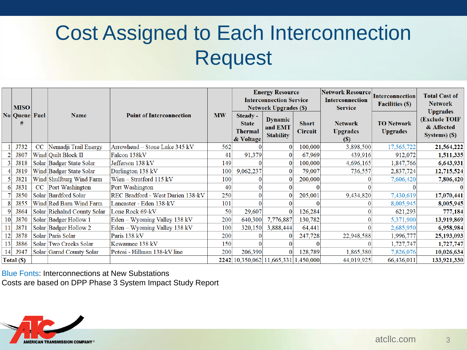# Cost Assigned to Each Interconnection Request

|                 | <b>MISO</b><br>No Queue Fuel |    | Name                        | <b>Point of Interconnection</b>   | <b>MW</b> | <b>Energy Resource</b><br><b>Interconnection Service</b><br><b>Network Upgrades (\$)</b> |                                               |                                | <b>Network Resource</b><br><b>Interconnection</b><br><b>Service</b> | Interconnection<br><b>Facilities (\$)</b> | <b>Total Cost of</b><br><b>Network</b><br><b>Upgrades</b> |
|-----------------|------------------------------|----|-----------------------------|-----------------------------------|-----------|------------------------------------------------------------------------------------------|-----------------------------------------------|--------------------------------|---------------------------------------------------------------------|-------------------------------------------|-----------------------------------------------------------|
|                 |                              |    |                             |                                   |           | Steady -<br><b>State</b><br><b>Thermal</b><br>& Voltage                                  | <b>Dynamic</b><br>and EMT<br><b>Stability</b> | <b>Short</b><br><b>Circuit</b> | <b>Network</b><br><b>Upgrades</b><br><b>(S)</b>                     | <b>TO Network</b><br><b>Upgrades</b>      | (Exclude TOIF<br>& Affected<br>Systems) (\$)              |
|                 | J732                         | CC | Nemadji Trail Energy        | Arrowhead - Stone Lake 345 kV     | 562       |                                                                                          |                                               | 100,000                        | 3,898,500                                                           | 17,565,722                                | 21,564,222                                                |
|                 | J807                         |    | Wind Quilt Block II         | Falcon 138kV                      | 41        | 91,379                                                                                   | $\bf{0}$                                      | 67,969                         | 439,916                                                             | 912,072                                   | 1,511,335                                                 |
|                 | J818                         |    | Solar Badger State Solar    | Jefferson 138 kV                  | 149       |                                                                                          | $\Omega$                                      | 100,000                        | 4,696,165                                                           | 1,847,766                                 | 6,643,931                                                 |
|                 | J819                         |    | Wind Badger State Solar     | Darlington 138 kV                 | 100       | 9,062,237                                                                                | $\mathbf{0}$                                  | 79,007                         | 736,557                                                             | 2,837,724                                 | 12,715,524                                                |
|                 | J821                         |    | Wind Shullburg Wind Farm    | Wien $-$ Stratford 115 kV         | 100       |                                                                                          |                                               | 200,000                        |                                                                     | 7,606,420                                 | 7,806,420                                                 |
|                 | J831                         |    | CC Port Washington          | Port Washington                   | 40        |                                                                                          |                                               |                                |                                                                     |                                           |                                                           |
|                 | J850                         |    | Solar Bardford Solar        | REC Bradford - West Darien 138-kV | 250       |                                                                                          |                                               | 205,001                        | 9,434,820                                                           | 7,430,619                                 | 17,070,441                                                |
|                 | J855                         |    | Wind Red Barn Wind Farm     | Lancaster - Eden 138-kV           | 101       |                                                                                          |                                               |                                |                                                                     | 8,005,945                                 | 8,005,945                                                 |
|                 | J864                         |    | Solar Richalnd County Solar | Lone Rock 69-kV                   | 50        | 29,607                                                                                   | $\Omega$                                      | 126,284                        |                                                                     | 621,293                                   | 777,184                                                   |
| 10 <sup>1</sup> | J870                         |    | Solar Badger Hollow 1       | $Eden - Wyoming Valley 138 kV$    | 200       | 640,300                                                                                  | 7,776,887                                     | 130,782                        |                                                                     | 5,371,900                                 | 13,919,869                                                |
|                 | J871                         |    | Solar Badger Hollow 2       | Eden - Wyoming Valley 138 kV      | 100       | 320,150                                                                                  | 3,888,444                                     | 64,441                         |                                                                     | 2,685,950                                 | 6,958,984                                                 |
|                 | <b>J878</b>                  |    | Solar Paris Solar           | Paris 138 kV                      | 200       |                                                                                          |                                               | 247,728                        | 22,948,588                                                          | 1,996,777                                 | 25,193,093                                                |
| 13              | <b>J886</b>                  |    | Solar Two Creeks Solar      | Kewaunee 138 kV                   | 150       |                                                                                          |                                               |                                |                                                                     | 1,727,747                                 | 1,727,747                                                 |
|                 | 14 J947                      |    | Solar Garnd County Solar    | Potosi - Hillman 138-kV line      | 200       | 206,390                                                                                  |                                               | 128,789                        | 1,865,380                                                           | 7,826,076                                 | 10,026,634                                                |
|                 | Total (S)                    |    |                             |                                   |           |                                                                                          | 2242 10,350,062 11,665,331 1,450,000          |                                | 44,019,925                                                          | 66,436,011                                | 133,921,330                                               |

Blue Fonts: Interconnections at New Substations Costs are based on DPP Phase 3 System Impact Study Report

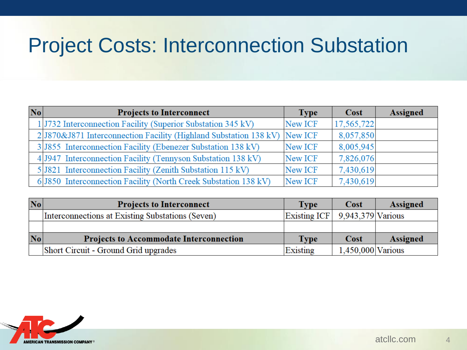## Project Costs: Interconnection Substation

| No | <b>Projects to Interconnect</b>                                            | <b>Type</b> | Cost       | <b>Assigned</b> |
|----|----------------------------------------------------------------------------|-------------|------------|-----------------|
|    | 1 J732 Interconnection Facility (Superior Substation 345 kV)               | New ICF     | 17,565,722 |                 |
|    | 2 J870& J871 Interconnection Facility (Highland Substation 138 kV) New ICF |             | 8,057,850  |                 |
|    | 3 3 3 3 5 5 Interconnection Facility (Ebenezer Substation 138 kV)          | New ICF     | 8,005,945  |                 |
|    | 4 J947 Interconnection Facility (Tennyson Substation 138 kV)               | New ICF     | 7,826,076  |                 |
|    | 5 3 321 Interconnection Facility (Zenith Substation 115 kV)                | New ICF     | 7,430,619  |                 |
|    | 6 5850 Interconnection Facility (North Creek Substation 138 kV)            | New ICF     | 7,430,619  |                 |

| N <sub>0</sub> | <b>Projects to Interconnect</b>                  | <b>Type</b>                    | <b>Cost</b>         | Assigned        |
|----------------|--------------------------------------------------|--------------------------------|---------------------|-----------------|
|                | Interconnections at Existing Substations (Seven) | Existing ICF 9.943,379 Various |                     |                 |
|                |                                                  |                                |                     |                 |
| N <sub>o</sub> | <b>Projects to Accommodate Interconnection</b>   | <b>Type</b>                    | Cost                | <b>Assigned</b> |
|                | Short Circuit - Ground Grid upgrades             | Existing                       | $1,450,000$ Various |                 |

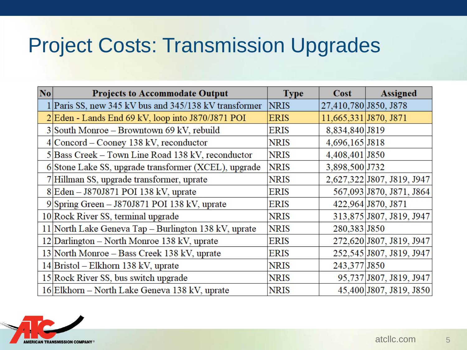#### Project Costs: Transmission Upgrades

| $ N_{0} $ | <b>Projects to Accommodate Output</b>                 | <b>Type</b> | Cost                  | <b>Assigned</b>            |
|-----------|-------------------------------------------------------|-------------|-----------------------|----------------------------|
|           | 1 Paris SS, new 345 kV bus and 345/138 kV transformer | <b>NRIS</b> | 27,410,780 J850, J878 |                            |
|           | 2 Eden - Lands End 69 kV, loop into J870/J871 POI     | <b>ERIS</b> | 11,665,331 J870, J871 |                            |
|           | 3 South Monroe – Browntown 69 kV, rebuild             | <b>ERIS</b> | 8,834,840 J819        |                            |
|           | $4$  Concord – Cooney 138 kV, reconductor             | <b>NRIS</b> | 4,696,165 J818        |                            |
|           | 5 Bass Creek – Town Line Road 138 kV, reconductor     | <b>NRIS</b> | 4,408,401 J850        |                            |
|           | 6 Stone Lake SS, upgrade transformer (XCEL), upgrade  | <b>NRIS</b> | 3,898,500 J732        |                            |
|           | 7 Hillman SS, upgrade transformer, uprate             | <b>NRIS</b> |                       | 2,627,322 J807, J819, J947 |
|           | $8$ Eden - J870J871 POI 138 kV, uprate                | <b>ERIS</b> |                       | 567,093 J870, J871, J864   |
|           | 9 Spring Green - J870J871 POI 138 kV, uprate          | <b>ERIS</b> |                       | 422,964 J870, J871         |
|           | 10 Rock River SS, terminal upgrade                    | <b>NRIS</b> |                       | 313,875 J807, J819, J947   |
|           | 11 North Lake Geneva Tap – Burlington 138 kV, uprate  | <b>NRIS</b> | 280,383 J850          |                            |
|           | 12 Darlington – North Monroe 138 kV, uprate           | <b>ERIS</b> |                       | 272,620 J807, J819, J947   |
|           | 13 North Monroe – Bass Creek 138 kV, uprate           | <b>ERIS</b> |                       | 252,545 J807, J819, J947   |
|           | $14$  Bristol – Elkhorn 138 kV, uprate                | <b>NRIS</b> | 243,377 J850          |                            |
|           | 15 Rock River SS, bus switch upgrade                  | <b>NRIS</b> |                       | 95,737 J807, J819, J947    |
|           | 16 Elkhorn – North Lake Geneva 138 kV, uprate         | <b>NRIS</b> |                       | 45,400 J807, J819, J850    |

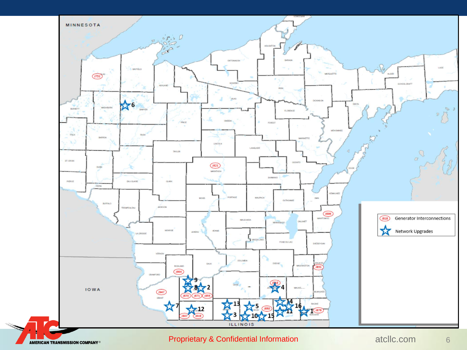

#### Proprietary & Confidential Information atcllc.com 6

**AMERICAN TRANSMISSION COMPANY®**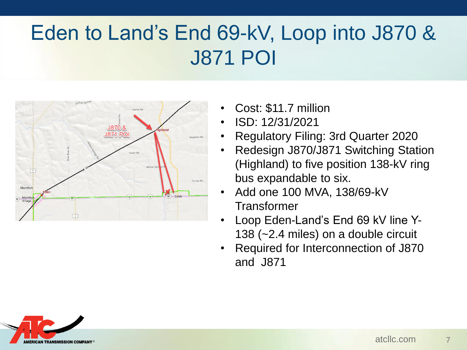# Eden to Land's End 69-kV, Loop into J870 & J871 POI



- Cost: \$11.7 million
- ISD: 12/31/2021
- Regulatory Filing: 3rd Quarter 2020
- Redesign J870/J871 Switching Station (Highland) to five position 138-kV ring bus expandable to six.
- Add one 100 MVA, 138/69-kV **Transformer**
- Loop Eden-Land's End 69 kV line Y-138 (~2.4 miles) on a double circuit
- Required for Interconnection of J870 and J871

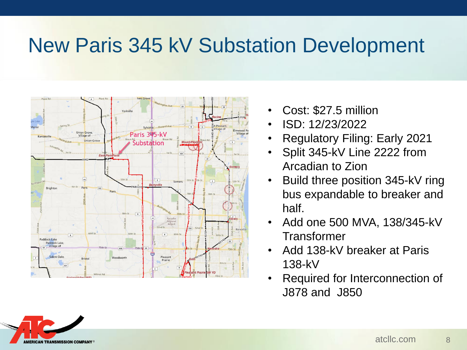## New Paris 345 kV Substation Development



- Cost: \$27.5 million
- ISD: 12/23/2022
- Regulatory Filing: Early 2021
- Split 345-kV Line 2222 from Arcadian to Zion
- Build three position 345-kV ring bus expandable to breaker and half.
- Add one 500 MVA, 138/345-kV **Transformer**
- Add 138-kV breaker at Paris 138-kV
- Required for Interconnection of J878 and J850

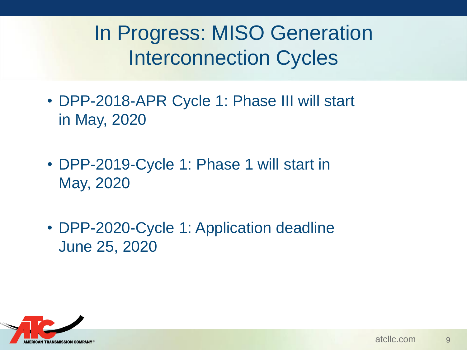In Progress: MISO Generation Interconnection Cycles

- DPP-2018-APR Cycle 1: Phase III will start in May, 2020
- DPP-2019-Cycle 1: Phase 1 will start in May, 2020
- DPP-2020-Cycle 1: Application deadline June 25, 2020